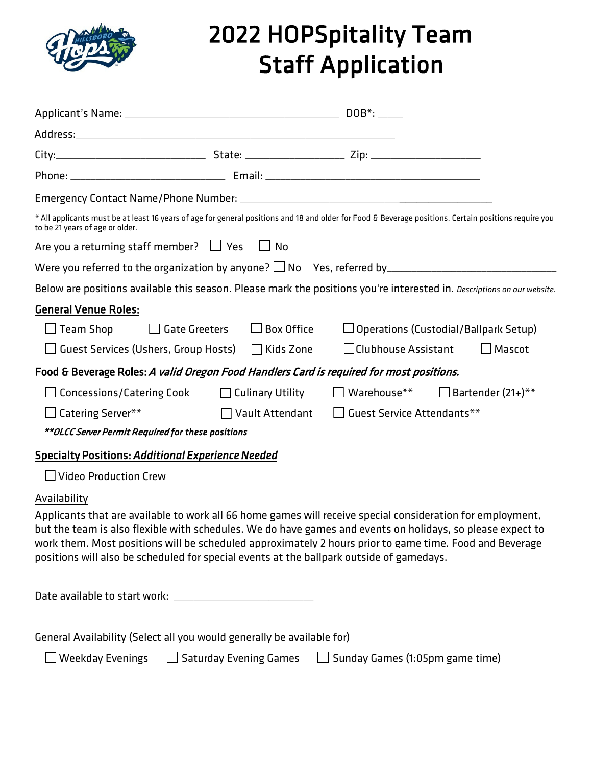

## 2022 HOPSpitality Team Staff Application

| * All applicants must be at least 16 years of age for general positions and 18 and older for Food & Beverage positions. Certain positions require you<br>to be 21 years of age or older.                                                                                                                                                                                                                                                        |                                        |                                             |                                              |  |
|-------------------------------------------------------------------------------------------------------------------------------------------------------------------------------------------------------------------------------------------------------------------------------------------------------------------------------------------------------------------------------------------------------------------------------------------------|----------------------------------------|---------------------------------------------|----------------------------------------------|--|
| Are you a returning staff member? $\Box$ Yes $\Box$ No                                                                                                                                                                                                                                                                                                                                                                                          |                                        |                                             |                                              |  |
|                                                                                                                                                                                                                                                                                                                                                                                                                                                 |                                        |                                             |                                              |  |
| Below are positions available this season. Please mark the positions you're interested in. Descriptions on our website.                                                                                                                                                                                                                                                                                                                         |                                        |                                             |                                              |  |
| <b>General Venue Roles:</b>                                                                                                                                                                                                                                                                                                                                                                                                                     |                                        |                                             |                                              |  |
| $\Box$ Team Shop                                                                                                                                                                                                                                                                                                                                                                                                                                | $\Box$ Gate Greeters $\Box$ Box Office |                                             | $\Box$ Operations (Custodial/Ballpark Setup) |  |
| □ Guest Services (Ushers, Group Hosts) □ Kids Zone                                                                                                                                                                                                                                                                                                                                                                                              |                                        | $\Box$ Clubhouse Assistant                  | $\Box$ Mascot                                |  |
| Food & Beverage Roles: A valid Oregon Food Handlers Card is required for most positions.                                                                                                                                                                                                                                                                                                                                                        |                                        |                                             |                                              |  |
| $\Box$ Concessions/Catering Cook $\Box$ Culinary Utility                                                                                                                                                                                                                                                                                                                                                                                        |                                        | $\Box$ Warehouse** $\Box$ Bartender (21+)** |                                              |  |
| $\Box$ Catering Server**                                                                                                                                                                                                                                                                                                                                                                                                                        | $\Box$ Vault Attendant                 | $\Box$ Guest Service Attendants**           |                                              |  |
| **OLCC Server Permit Required for these positions                                                                                                                                                                                                                                                                                                                                                                                               |                                        |                                             |                                              |  |
| <b>Specialty Positions: Additional Experience Needed</b>                                                                                                                                                                                                                                                                                                                                                                                        |                                        |                                             |                                              |  |
| $\Box$ Video Production Crew                                                                                                                                                                                                                                                                                                                                                                                                                    |                                        |                                             |                                              |  |
| Availability<br>Applicants that are available to work all 66 home games will receive special consideration for employment,<br>but the team is also flexible with schedules. We do have games and events on holidays, so please expect to<br>work them. Most positions will be scheduled approximately 2 hours prior to game time. Food and Beverage<br>positions will also be scheduled for special events at the ballpark outside of gamedays. |                                        |                                             |                                              |  |
|                                                                                                                                                                                                                                                                                                                                                                                                                                                 |                                        |                                             |                                              |  |
| General Availability (Select all you would generally be available for)                                                                                                                                                                                                                                                                                                                                                                          |                                        |                                             |                                              |  |

 $\Box$  Weekday Evenings  $\Box$  Saturday Evening Games  $\Box$  Sunday Games (1:05pm game time)